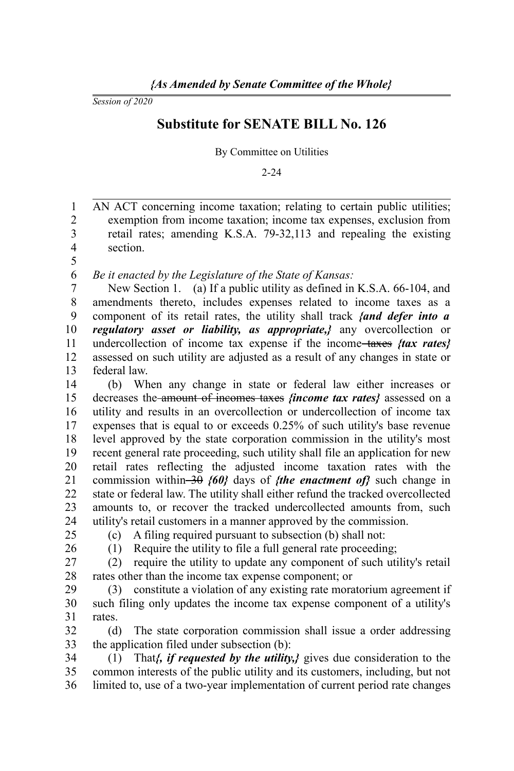*Session of 2020*

## **Substitute for SENATE BILL No. 126**

By Committee on Utilities

2-24

AN ACT concerning income taxation; relating to certain public utilities; exemption from income taxation; income tax expenses, exclusion from retail rates; amending K.S.A. 79-32,113 and repealing the existing section. 1 2 3 4 5

*Be it enacted by the Legislature of the State of Kansas:* 6

New Section 1. (a) If a public utility as defined in K.S.A. 66-104, and amendments thereto, includes expenses related to income taxes as a component of its retail rates, the utility shall track *{and defer into a regulatory asset or liability, as appropriate,}* any overcollection or undercollection of income tax expense if the income taxes *{tax rates}* assessed on such utility are adjusted as a result of any changes in state or federal law. 7 8 9 10 11 12 13

(b) When any change in state or federal law either increases or decreases the amount of incomes taxes *{income tax rates}* assessed on a utility and results in an overcollection or undercollection of income tax expenses that is equal to or exceeds 0.25% of such utility's base revenue level approved by the state corporation commission in the utility's most recent general rate proceeding, such utility shall file an application for new retail rates reflecting the adjusted income taxation rates with the commission within 30 *{60}* days of *{the enactment of}* such change in state or federal law. The utility shall either refund the tracked overcollected amounts to, or recover the tracked undercollected amounts from, such utility's retail customers in a manner approved by the commission. 14 15 16 17 18 19 20 21 22 23 24

25 26 (c) A filing required pursuant to subsection (b) shall not:

(1) Require the utility to file a full general rate proceeding;

(2) require the utility to update any component of such utility's retail rates other than the income tax expense component; or 27 28

(3) constitute a violation of any existing rate moratorium agreement if such filing only updates the income tax expense component of a utility's rates. 29 30 31

(d) The state corporation commission shall issue a order addressing the application filed under subsection (b): 32 33

(1) That*{, if requested by the utility,}* gives due consideration to the common interests of the public utility and its customers, including, but not limited to, use of a two-year implementation of current period rate changes 34 35 36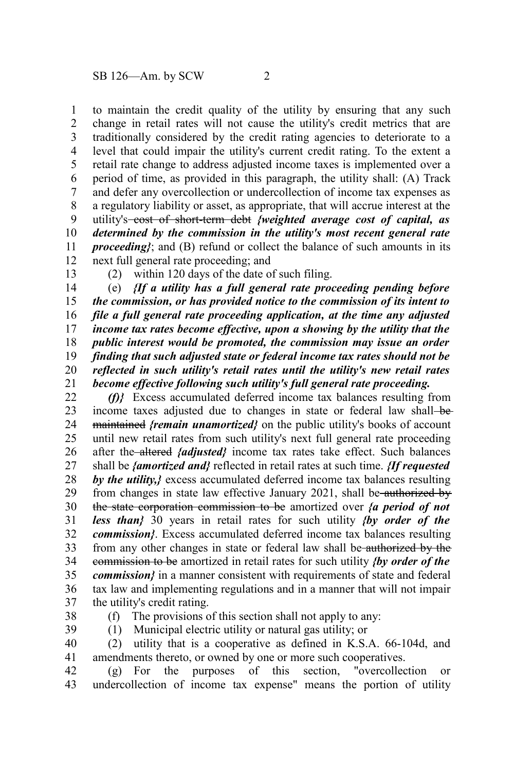to maintain the credit quality of the utility by ensuring that any such change in retail rates will not cause the utility's credit metrics that are traditionally considered by the credit rating agencies to deteriorate to a level that could impair the utility's current credit rating. To the extent a retail rate change to address adjusted income taxes is implemented over a period of time, as provided in this paragraph, the utility shall: (A) Track and defer any overcollection or undercollection of income tax expenses as a regulatory liability or asset, as appropriate, that will accrue interest at the utility's cost of short-term debt *{weighted average cost of capital, as determined by the commission in the utility's most recent general rate proceeding*}; and (B) refund or collect the balance of such amounts in its next full general rate proceeding; and 1 2 3 4 5 6 7 8 9 10 11 12

13

(2) within 120 days of the date of such filing.

(e) *{If a utility has a full general rate proceeding pending before the commission, or has provided notice to the commission of its intent to file a full general rate proceeding application, at the time any adjusted income tax rates become effective, upon a showing by the utility that the public interest would be promoted, the commission may issue an order finding that such adjusted state or federal income tax rates should not be reflected in such utility's retail rates until the utility's new retail rates become effective following such utility's full general rate proceeding.* 14 15 16 17 18 19 20 21

*(f)}* Excess accumulated deferred income tax balances resulting from income taxes adjusted due to changes in state or federal law shall—bemaintained *{remain unamortized}* on the public utility's books of account until new retail rates from such utility's next full general rate proceeding after the altered *{adjusted}* income tax rates take effect. Such balances shall be *{amortized and}* reflected in retail rates at such time. *{If requested by the utility,}* excess accumulated deferred income tax balances resulting from changes in state law effective January 2021, shall be authorized by the state corporation commission to be amortized over *{a period of not less than}* 30 years in retail rates for such utility *{by order of the commission}*. Excess accumulated deferred income tax balances resulting from any other changes in state or federal law shall be authorized by the commission to be amortized in retail rates for such utility *{by order of the commission}* in a manner consistent with requirements of state and federal tax law and implementing regulations and in a manner that will not impair the utility's credit rating. 22 23 24 25 26 27 28 29 30 31 32 33 34 35 36 37

38

(f) The provisions of this section shall not apply to any: (1) Municipal electric utility or natural gas utility; or

(2) utility that is a cooperative as defined in K.S.A. 66-104d, and 39 40

41

amendments thereto, or owned by one or more such cooperatives.<br>(g) For the purposes of this section, "overcollection or  $(g)$  For the purposes of this section, undercollection of income tax expense" means the portion of utility 42 43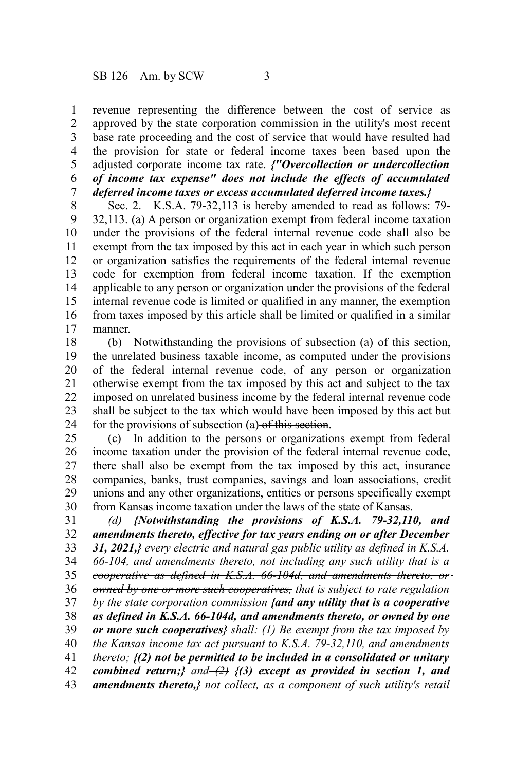revenue representing the difference between the cost of service as approved by the state corporation commission in the utility's most recent base rate proceeding and the cost of service that would have resulted had the provision for state or federal income taxes been based upon the adjusted corporate income tax rate. *{"Overcollection or undercollection of income tax expense" does not include the effects of accumulated deferred income taxes or excess accumulated deferred income taxes.}* 1 2 3 4 5 6 7

Sec. 2. K.S.A. 79-32,113 is hereby amended to read as follows: 79- 32,113. (a) A person or organization exempt from federal income taxation under the provisions of the federal internal revenue code shall also be exempt from the tax imposed by this act in each year in which such person or organization satisfies the requirements of the federal internal revenue code for exemption from federal income taxation. If the exemption applicable to any person or organization under the provisions of the federal internal revenue code is limited or qualified in any manner, the exemption from taxes imposed by this article shall be limited or qualified in a similar manner. 8 9 10 11 12 13 14 15 16 17

(b) Notwithstanding the provisions of subsection (a)  $-$ of this section, the unrelated business taxable income, as computed under the provisions of the federal internal revenue code, of any person or organization otherwise exempt from the tax imposed by this act and subject to the tax imposed on unrelated business income by the federal internal revenue code shall be subject to the tax which would have been imposed by this act but for the provisions of subsection (a) of this section. 18 19 20 21 22 23 24

(c) In addition to the persons or organizations exempt from federal income taxation under the provision of the federal internal revenue code, there shall also be exempt from the tax imposed by this act, insurance companies, banks, trust companies, savings and loan associations, credit unions and any other organizations, entities or persons specifically exempt from Kansas income taxation under the laws of the state of Kansas. 25 26 27 28 29 30

*(d) {Notwithstanding the provisions of K.S.A. 79-32,110, and amendments thereto, effective for tax years ending on or after December 31, 2021,} every electric and natural gas public utility as defined in K.S.A. 66-104, and amendments thereto, not including any such utility that is a cooperative as defined in K.S.A. 66-104d, and amendments thereto, or owned by one or more such cooperatives, that is subject to rate regulation by the state corporation commission {and any utility that is a cooperative as defined in K.S.A. 66-104d, and amendments thereto, or owned by one or more such cooperatives} shall: (1) Be exempt from the tax imposed by the Kansas income tax act pursuant to K.S.A. 79-32,110, and amendments thereto; {(2) not be permitted to be included in a consolidated or unitary combined return;} and*  $\left(\frac{2}{2}\right)$  *{(3) except as provided in section 1, and amendments thereto,} not collect, as a component of such utility's retail* 31 32 33 34 35 36 37 38 39 40 41 42 43